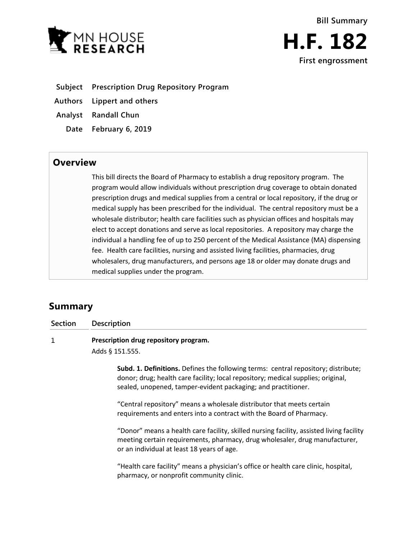



- **Subject Prescription Drug Repository Program**
- **Authors Lippert and others**
- **Analyst Randall Chun**
	- **Date February 6, 2019**

## **Overview**

This bill directs the Board of Pharmacy to establish a drug repository program. The program would allow individuals without prescription drug coverage to obtain donated prescription drugs and medical supplies from a central or local repository, if the drug or medical supply has been prescribed for the individual. The central repository must be a wholesale distributor; health care facilities such as physician offices and hospitals may elect to accept donations and serve as local repositories. A repository may charge the individual a handling fee of up to 250 percent of the Medical Assistance (MA) dispensing fee. Health care facilities, nursing and assisted living facilities, pharmacies, drug wholesalers, drug manufacturers, and persons age 18 or older may donate drugs and medical supplies under the program.

# **Summary**

**Section Description**

 $\mathbf{1}$ **Prescription drug repository program.**

Adds § 151.555.

**Subd. 1. Definitions.** Defines the following terms: central repository; distribute; donor; drug; health care facility; local repository; medical supplies; original, sealed, unopened, tamper-evident packaging; and practitioner.

"Central repository" means a wholesale distributor that meets certain requirements and enters into a contract with the Board of Pharmacy.

"Donor" means a health care facility, skilled nursing facility, assisted living facility meeting certain requirements, pharmacy, drug wholesaler, drug manufacturer, or an individual at least 18 years of age.

"Health care facility" means a physician's office or health care clinic, hospital, pharmacy, or nonprofit community clinic.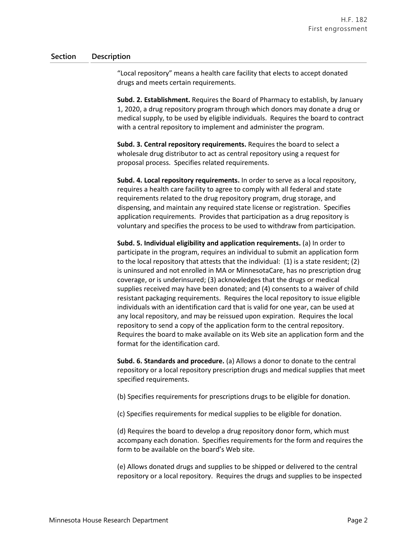### **Section Description**

"Local repository" means a health care facility that elects to accept donated drugs and meets certain requirements.

**Subd. 2. Establishment.** Requires the Board of Pharmacy to establish, by January 1, 2020, a drug repository program through which donors may donate a drug or medical supply, to be used by eligible individuals. Requires the board to contract with a central repository to implement and administer the program.

**Subd. 3. Central repository requirements.** Requires the board to select a wholesale drug distributor to act as central repository using a request for proposal process. Specifies related requirements.

**Subd. 4. Local repository requirements.** In order to serve as a local repository, requires a health care facility to agree to comply with all federal and state requirements related to the drug repository program, drug storage, and dispensing, and maintain any required state license or registration. Specifies application requirements. Provides that participation as a drug repository is voluntary and specifies the process to be used to withdraw from participation.

**Subd. 5. Individual eligibility and application requirements.** (a) In order to participate in the program, requires an individual to submit an application form to the local repository that attests that the individual: (1) is a state resident; (2) is uninsured and not enrolled in MA or MinnesotaCare, has no prescription drug coverage, or is underinsured; (3) acknowledges that the drugs or medical supplies received may have been donated; and (4) consents to a waiver of child resistant packaging requirements. Requires the local repository to issue eligible individuals with an identification card that is valid for one year, can be used at any local repository, and may be reissued upon expiration. Requires the local repository to send a copy of the application form to the central repository. Requires the board to make available on its Web site an application form and the format for the identification card.

**Subd. 6. Standards and procedure.** (a) Allows a donor to donate to the central repository or a local repository prescription drugs and medical supplies that meet specified requirements.

(b) Specifies requirements for prescriptions drugs to be eligible for donation.

(c) Specifies requirements for medical supplies to be eligible for donation.

(d) Requires the board to develop a drug repository donor form, which must accompany each donation. Specifies requirements for the form and requires the form to be available on the board's Web site.

(e) Allows donated drugs and supplies to be shipped or delivered to the central repository or a local repository. Requires the drugs and supplies to be inspected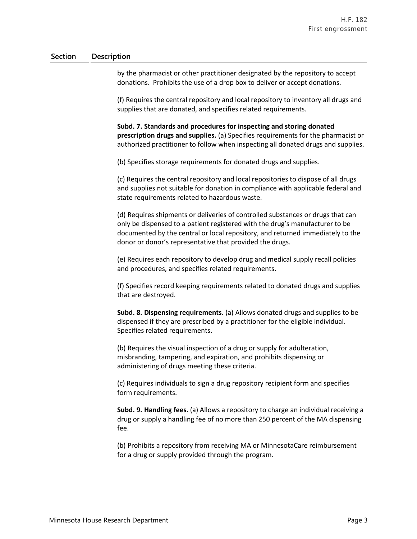### **Section Description**

by the pharmacist or other practitioner designated by the repository to accept donations. Prohibits the use of a drop box to deliver or accept donations.

(f) Requires the central repository and local repository to inventory all drugs and supplies that are donated, and specifies related requirements.

**Subd. 7. Standards and procedures for inspecting and storing donated prescription drugs and supplies.** (a) Specifies requirements for the pharmacist or authorized practitioner to follow when inspecting all donated drugs and supplies.

(b) Specifies storage requirements for donated drugs and supplies.

(c) Requires the central repository and local repositories to dispose of all drugs and supplies not suitable for donation in compliance with applicable federal and state requirements related to hazardous waste.

(d) Requires shipments or deliveries of controlled substances or drugs that can only be dispensed to a patient registered with the drug's manufacturer to be documented by the central or local repository, and returned immediately to the donor or donor's representative that provided the drugs.

(e) Requires each repository to develop drug and medical supply recall policies and procedures, and specifies related requirements.

(f) Specifies record keeping requirements related to donated drugs and supplies that are destroyed.

**Subd. 8. Dispensing requirements.** (a) Allows donated drugs and supplies to be dispensed if they are prescribed by a practitioner for the eligible individual. Specifies related requirements.

(b) Requires the visual inspection of a drug or supply for adulteration, misbranding, tampering, and expiration, and prohibits dispensing or administering of drugs meeting these criteria.

(c) Requires individuals to sign a drug repository recipient form and specifies form requirements.

**Subd. 9. Handling fees.** (a) Allows a repository to charge an individual receiving a drug or supply a handling fee of no more than 250 percent of the MA dispensing fee.

(b) Prohibits a repository from receiving MA or MinnesotaCare reimbursement for a drug or supply provided through the program.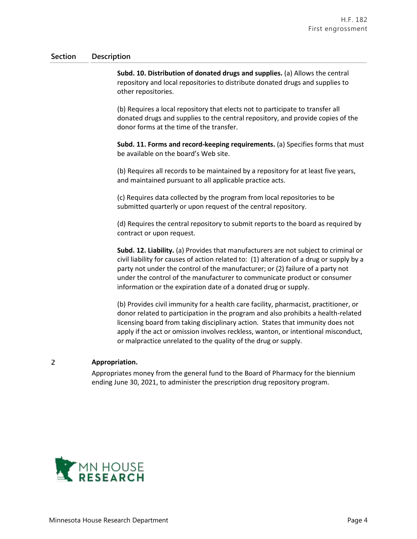#### **Section Description**

**Subd. 10. Distribution of donated drugs and supplies.** (a) Allows the central repository and local repositories to distribute donated drugs and supplies to other repositories.

(b) Requires a local repository that elects not to participate to transfer all donated drugs and supplies to the central repository, and provide copies of the donor forms at the time of the transfer.

**Subd. 11. Forms and record-keeping requirements.** (a) Specifies forms that must be available on the board's Web site.

(b) Requires all records to be maintained by a repository for at least five years, and maintained pursuant to all applicable practice acts.

(c) Requires data collected by the program from local repositories to be submitted quarterly or upon request of the central repository.

(d) Requires the central repository to submit reports to the board as required by contract or upon request.

**Subd. 12. Liability.** (a) Provides that manufacturers are not subject to criminal or civil liability for causes of action related to: (1) alteration of a drug or supply by a party not under the control of the manufacturer; or (2) failure of a party not under the control of the manufacturer to communicate product or consumer information or the expiration date of a donated drug or supply.

(b) Provides civil immunity for a health care facility, pharmacist, practitioner, or donor related to participation in the program and also prohibits a health-related licensing board from taking disciplinary action. States that immunity does not apply if the act or omission involves reckless, wanton, or intentional misconduct, or malpractice unrelated to the quality of the drug or supply.

#### **Appropriation.**

2

Appropriates money from the general fund to the Board of Pharmacy for the biennium ending June 30, 2021, to administer the prescription drug repository program.